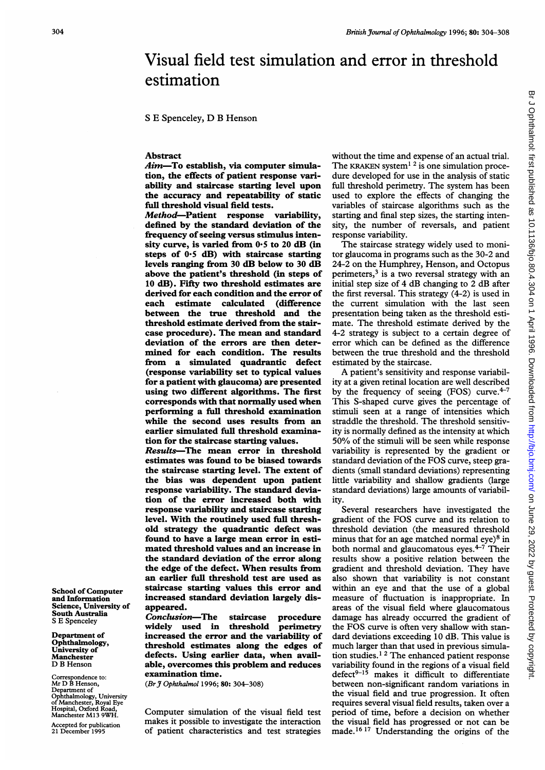# Br J Ophthalmol: first published as 10.1136/bjo.80.4.304 on 1 April 1996. Downloaded from http://bjo.bmj.com/ on June 29, 2022 by guest. Protected by copyright Br Johnalmol: first published as 10.1136/bjo.80.4.304 on 1 April 1996. Downloaded from <http://bjo.bmj.com/> on June 29, 2022 by guest. Protected by copyright.

# Visual field test simulation and error in threshold estimation

<sup>S</sup> E Spenceley, D B Henson

## Abstract

Aim-To establish, via computer simulation, the effects of patient response variability and staircase starting level upon the accuracy and repeatability of static full threshold visual field tests.

Method-Patient response variability, defined by the standard deviation of the frequency of seeing versus stimulus intensity curve, is varied from 0\*5 to 20 dB (in steps of  $0.5$  dB) with staircase starting levels ranging from 30 dB below to 30 dB above the patient's threshold (in steps of 10 dB). Fifty two threshold estimates are derived for each condition and the error of each estimate calculated (difference between the true threshold and the threshold estimate derived from the staircase procedure). The mean and standard deviation of the errors are then determined for each condition. The results from a simulated quadrantic defect (response variability set to typical values for a patient with glaucoma) are presented using two different algorithms. The first corresponds with that normally used when performing a full threshold examination while the second uses results from an earlier simulated full threshold examination for the staircase starting values.

Results-The mean error in threshold estimates was found to be biased towards the staircase starting level. The extent of the bias was dependent upon patient response variability. The standard deviation of the error increased both with response variability and staircase starting level. With the routinely used full threshold strategy the quadrantic defect was found to have a large mean error in estimated threshold values and an increase in the standard deviation of the error along the edge of the defect. When results from an earlier full threshold test are used as staircase starting values this error and increased standard deviation largely disappeared.

Conclusion-The staircase procedure widely used in threshold increased the error and the variability of threshold estimates along the edges of defects. Using earlier data, when available, overcomes this problem and reduces examination time.

(Br J Ophthalmol 1996; 80: 304-308)

Computer simulation of the visual field test makes it possible to investigate the interaction of patient characteristics and test strategies without the time and expense of an actual trial. The KRAKEN system<sup>1 2</sup> is one simulation procedure developed for use in the analysis of static full threshold perimetry. The system has been used to explore the effects of changing the variables of staircase algorithms such as the starting and final step sizes, the starting intensity, the number of reversals, and patient response variability.

The staircase strategy widely used to monitor glaucoma in programs such as the 30-2 and 24-2 on the Humphrey, Henson, and Octopus perimeters, $3$  is a two reversal strategy with an initial step size of 4 dB changing to 2 dB after the first reversal. This strategy (4-2) is used in the current simulation with the last seen presentation being taken as the threshold estimate. The threshold estimate derived by the 4-2 strategy is subject to a certain degree of error which can be defined as the difference between the true threshold and the threshold estimated by the staircase.

A patient's sensitivity and response variability at a given retinal location are well described by the frequency of seeing (FOS) curve. $4-7$ This S-shaped curve gives the percentage of stimuli seen at a range of intensities which straddle the threshold. The threshold sensitivity is normally defined as the intensity at which 50% of the stimuli will be seen while response variability is represented by the gradient or standard deviation of the FOS curve, steep gradients (small standard deviations) representing little variability and shallow gradients (large standard deviations) large amounts of variability.

Several researchers have investigated the gradient of the FOS curve and its relation to threshold deviation (the measured threshold minus that for an age matched normal eve $8 \text{ in}$ both normal and glaucomatous eyes. $4-\overline{7}$  Their results show a positive relation between the gradient and threshold deviation. They have also shown that variability is not constant within an eye and that the use of a global measure of fluctuation is inappropriate. In areas of the visual field where glaucomatous damage has already occurred the gradient of the FOS curve is often very shallow with standard deviations exceeding 10 dB. This value is much larger than that used in previous simulation studies.1 <sup>2</sup> The enhanced patient response variability found in the regions of a visual field defect<sup>9-15</sup> makes it difficult to differentiate between non-significant random variations in the visual field and true progression. It often requires several visual field results, taken over a period of time, before a decision on whether the visual field has progressed or not can be made.<sup>16 17</sup> Understanding the origins of the

School of Computer and Information Science, University of South Australia S E Spenceley

Department of Ophthalmology, University of Manchester D B Henson

Correspondence to: Mr D B Henson, Department of Ophthalmology, University of Manchester, Royal Eye Hospital, Oxford Road, Manchester M13 9WH.

Accepted for publication 21 December 1995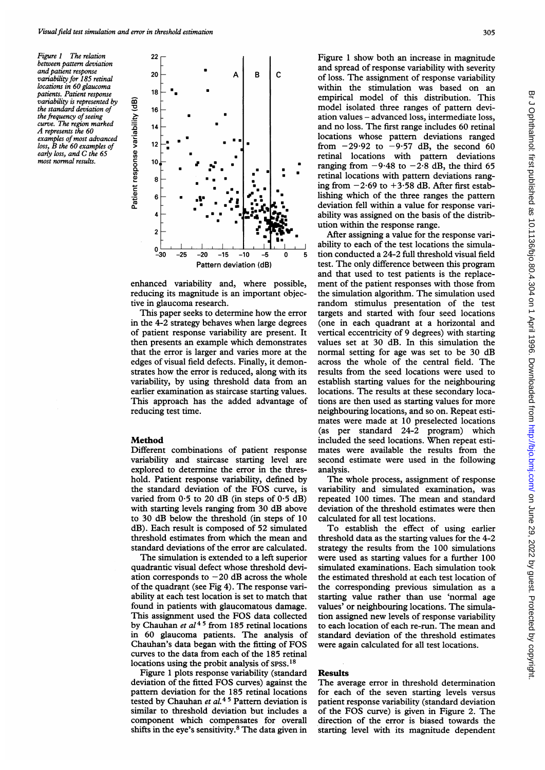Figure <sup>1</sup> The relation between pattern deviation and patient response variability for 185 retinal locations in 60 glaucoma patients. Patient response variability is represented by the standard deviation of the frequency of seeing curve. The region marked A represents the <sup>60</sup> examples of most advanced loss, B the <sup>60</sup> examples of early loss, and C the <sup>65</sup> most normal results.



enhanced variability and, where possible, reducing its magnitude is an important objective in glaucoma research.

This paper seeks to determine how the error in the 4-2 strategy behaves when large degrees of patient response variability are present. It then presents an example which demonstrates that the error is larger and varies more at the edges of visual field defects. Finally, it demonstrates how the error is reduced, along with its variability, by using threshold data from an earlier examination as staircase starting values. This approach has the added advantage of reducing test time.

# Method

Different combinations of patient response variability and staircase starting level are explored to determine the error in the threshold. Patient response variability, defined by the standard deviation of the FOS curve, is varied from  $0.5$  to 20 dB (in steps of  $0.5$  dB) with starting levels ranging from 30 dB above to 30 dB below the threshold (in steps of 10 dB). Each result is composed of 52 simulated threshold estimates from which the mean and standard deviations of the error are calculated.

The simulation is extended to a left superior quadrantic visual defect whose threshold deviation corresponds to  $-20$  dB across the whole of the quadrant (see Fig 4). The response variability at each test location is set to match that found in patients with glaucomatous damage. This assignment used the FOS data collected by Chauhan et  $al^{45}$  from 185 retinal locations in 60 glaucoma patients. The analysis of Chauhan's data began with the fitting of FOS curves to the data from each of the 185 retinal locations using the probit analysis of spss.<sup>18</sup>

Figure <sup>1</sup> plots response variability (standard deviation of the fitted FOS curves) against the pattern deviation for the 185 retinal locations tested by Chauhan et  $al.45$  Pattern deviation is similar to threshold deviation but includes a component which compensates for overall shifts in the eye's sensitivity.8 The data given in Figure <sup>1</sup> show both an increase in magnitude and spread of response variability with severity of loss. The assignment of response variability within the stimulation was based on an empirical model of this distribution. This model isolated three ranges of pattern deviation values - advanced loss, intermediate loss, and no loss. The first range includes 60 retinal locations whose pattern deviations ranged from  $-29.92$  to  $-9.57$  dB, the second 60 retinal locations with pattern deviations ranging from  $-9.48$  to  $-2.8$  dB, the third 65 retinal locations with pattem deviations ranging from  $-2.69$  to  $+3.58$  dB. After first establishing which of the three ranges the pattern deviation fell within a value for response variability was assigned on the basis of the distribution within the response range.

After assigning a value for the response variability to each of the test locations the simulation conducted a 24-2 full threshold visual field test. The only difference between this program and that used to test patients is the replacement of the patient responses with those from the simulation algorithm. The simulation used random stimulus presentation of the test targets and started with four seed locations (one in each quadrant at a horizontal and vertical eccentricity of 9 degrees) with starting values set at 30 dB. In this simulation the normal setting for age was set to be 30 dB across the whole of the central field. The results from the seed locations were used to establish starting values for the neighbouring locations. The results at these secondary locations are then used as starting values for more neighbouring locations, and so on. Repeat estimates were made at <sup>10</sup> preselected locations (as per standard 24-2 program) which included the seed locations. When repeat estimates were available the results from the second estimate were used in the following analysis.

The whole process, assignment of response variability and simulated examination, was repeated 100 times. The mean and standard deviation of the threshold estimates were then calculated for all test locations.

To establish the effect of using earlier threshold data as the starting values for the 4-2 strategy the results from the 100 simulations were used as starting values for a further 100 simulated examinations. Each simulation took the estimated threshold at each test location of the corresponding previous simulation as a starting value rather than use 'normal age values' or neighbouring locations. The simulation assigned new levels of response variability to each location of each re-run. The mean and standard deviation of the threshold estimates were again calculated for all test locations.

### Results

The average error in threshold determination for each of the seven starting levels versus patient response variability (standard deviation of the FOS curve) is given in Figure 2. The direction of the error is biased towards the starting level with its magnitude dependent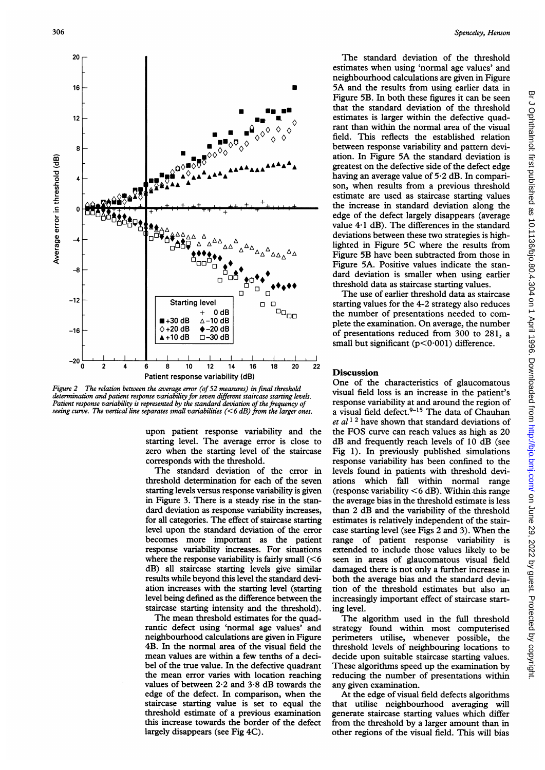

Figure 2 The relation between the average error (of 52 measures) in final threshold determination and patient response variability for seven different staircase starting levels. Patient response variability is represented by the standard deviation of the frequency of seeing curve. The vertical line separates small variabilities  $(< 6$  dB) from the larger ones.

upon patient response variability and the starting level. The average error is close to zero when the starting level of the staircase corresponds with the threshold.

The standard deviation of the error in threshold determination for each of the seven starting levels versus response variability is given in Figure 3. There is a steady rise in the standard deviation as response variability increases, for all categories. The effect of staircase starting level upon the standard deviation of the error becomes more important as the patient response variability increases. For situations where the response variability is fairly small  $(< 6$ dB) all staircase starting levels give similar results while beyond this level the standard deviation increases with the starting level (starting level being defined as the difference between the staircase starting intensity and the threshold).

The mean threshold estimates for the quadrantic defect using 'normal age values' and neighbourhood calculations are given in Figure 4B. In the normal area of the visual field the mean values are within a few tenths of a decibel of the true value. In the defective quadrant the mean error varies with location reaching values of between 2-2 and 3-8 dB towards the edge of the defect. In comparison, when the staircase starting value is set to equal the threshold estimate of a previous examination this increase towards the border of the defect largely disappears (see Fig 4G).

The standard deviation of the threshold estimates when using 'normal age values' and neighbourhood calculations are given in Figure 5A and the results from using earlier data in Figure 5B. In both these figures it can be seen that the standard deviation of the threshold estimates is larger within the defective quadrant than within the normal area of the visual field. This reflects the established relation between response variability and pattern deviation. In Figure 5A the standard deviation is greatest on the defective side of the defect edge having an average value of 5-2 dB. In comparison, when results from a previous threshold estimate are used as staircase starting values the increase in standard deviation along the edge of the defect largely disappears (average value  $4·1$  dB). The differences in the standard deviations between these two strategies is highlighted in Figure 5C where the results from Figure 5B have been subtracted from those in Figure 5A. Positive values indicate the standard deviation is smaller when using earlier threshold data as staircase starting values.

The use of earlier threshold data as staircase starting values for the 4-2 strategy also reduces the number of presentations needed to complete the examination. On average, the number of presentations reduced from 300 to 281, a small but significant ( $p < 0.001$ ) difference.

## Discussion

One of the characteristics of glaucomatous visual field loss is an increase in the patient's response variability at and around the region of a visual field defect.<sup>9-15</sup> The data of Chauhan et  $al<sup>12</sup>$  have shown that standard deviations of the FOS curve can reach values as high as 20 dB and frequently reach levels of 10 dB (see Fig 1). In previously published simulations response variability has been confined to the levels found in patients with threshold deviations which fall within normal range (response variability  $\leq 6$  dB). Within this range the average bias in the threshold estimate is less than 2 dB and the variability of the threshold estimates is relatively independent of the staircase starting level (see Figs 2 and 3). When the range of patient response variability is extended to include those values likely to be seen in areas of glaucomatous visual field damaged there is not only a further increase in both the average bias and the standard deviation of the threshold estimates but also an increasingly important effect of staircase starting level.

The algorithm used in the full threshold strategy found within most computerised perimeters utilise, whenever possible, the threshold levels of neighbouring locations to decide upon suitable staircase starting values. These algorithms speed up the examination by reducing the number of presentations within any given examination.

At the edge of visual field defects algorithms that utilise neighbourhood averaging will generate staircase starting values which differ from the threshold by a larger amount than in other regions of the visual field. This will bias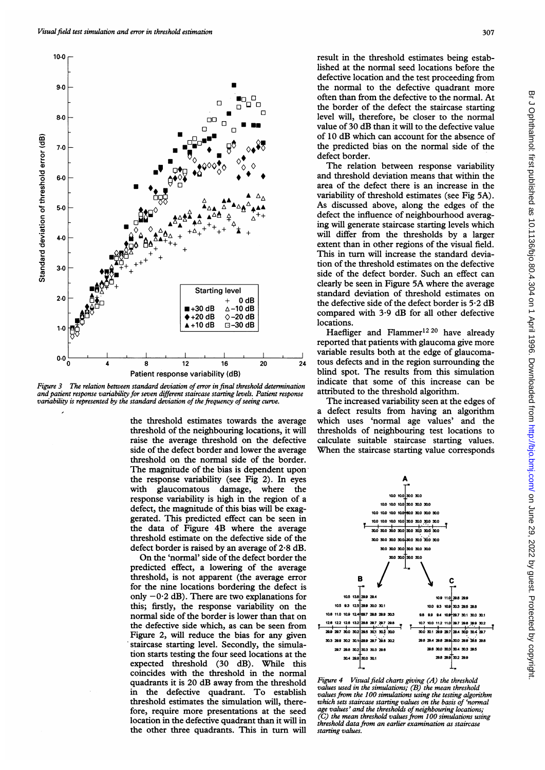

Figure 3 The relation between standard deviation of error in final threshold determination and patient response variability for seven different staircase starting levels. Patient response variability is represented by the standard deviation of the frequency of seeing curve.

the threshold estimates towards the average threshold of the neighbouring locations, it will raise the average threshold on the defective side of the defect border and lower the average threshold on the normal side of the border. The magnitude of the bias is dependent uponthe response variability (see Fig 2). In eyes with glaucomatous damage, where the response variability is high in the region of a defect, the magnitude of this bias will be exaggerated. This predicted effect can be seen in the data of Figure 4B where the average threshold estimate on the defective side of the defect border is raised by an average of 2-8 dB.

On the 'normal' side of the defect border the predicted effect, a lowering of the average threshold, is not apparent (the average error for the nine locations bordering the defect is only  $-0.2$  dB). There are two explanations for this; firstly, the response variability on the normal side of the border is lower than that on the defective side which, as can be seen from Figure 2, will reduce the bias for any given staircase starting level. Secondly, the simulation starts testing the four seed locations at the expected threshold (30 dB). While this coincides with the threshold in the normal quadrants it is 20 dB away from the threshold in the defective quadrant. To establish threshold estimates the simulation will, therefore, require more presentations at the seed location in the defective quadrant than it will in the other three quadrants. This in turn will

result in the threshold estimates being established at the normal seed locations before the defective location and the test proceeding from the normal to the defective quadrant more often than from the defective to the normal. At the border of the defect the staircase starting level will, therefore, be closer to the normal value of 30 dB than it will to the defective value of 10 dB which can account for the absence of the predicted bias on the normal side of the defect border.

The relation between response variability and threshold deviation means that within the area of the defect there is an increase in the variability of threshold estimates (see Fig 5A). As discussed above, along the edges of the defect the influence of neighbourhood averaging will generate staircase starting levels which will differ from the thresholds by a larger extent than in other regions of the visual field. This in turn will increase the standard deviation of the threshold estimates on the defective side of the defect border. Such an effect can clearly be seen in Figure 5A where the average standard deviation of threshold estimates on the defective side of the defect border is 5 2 dB compared with 3.9 dB for all other defective locations.

Haefliger and Flammer<sup>12 20</sup> have already reported that patients with glaucoma give more variable results both at the edge of glaucomatous defects and in the region surrounding the blind spot. The results from this simulation indicate that some of this increase can be attributed to the threshold algorithm.

The increased variability seen at the edges of a defect results from having an algorithm which uses 'normal age values' and the thresholds of neighbouring test locations to calculate suitable staircase starting values. When the staircase starting value corresponds



Figure  $4$  Visual field charts giving  $(A)$  the threshold values used in the simulations; (B) the mean threshold values from the 100 simulations using the testing algorithm which sets staircase starting values on the basis of 'normal age values' and the thresholds of neighbouring locations; (C) the mean threshold values from 100 simulations using threshold data from an earlier examination as staircase starting values.